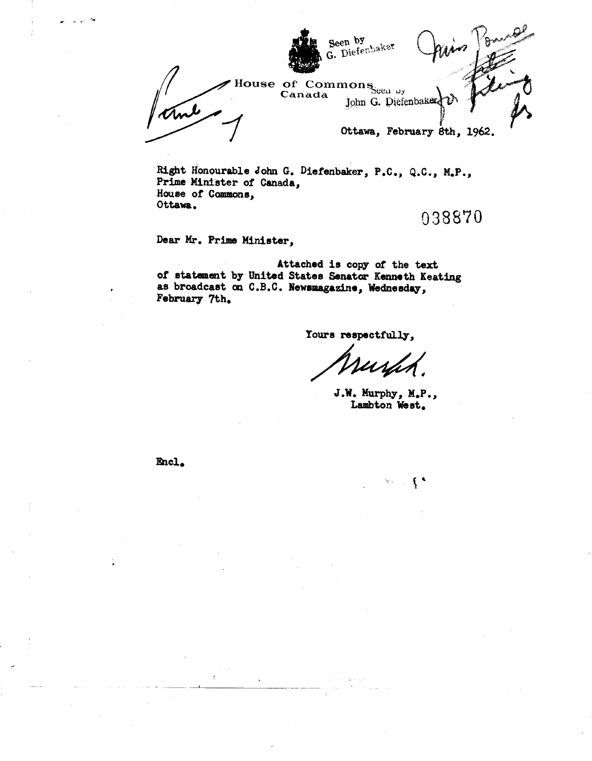

Right Honourable John G. Diefenbaker, P.C., Q.C., M.P., Prime Minister of Canada, House or Commons, Ottawa.

038870

Dear Mr. Prime Minister,

Attached is copy or the text of statement by United States Senator Kenneth Keating as broadcast en C.B.C. Newsmagazine, Wednesday, February 7th.

Yours respectfully,

J.W. Murphy, M.P., Lambton West.

Encl.